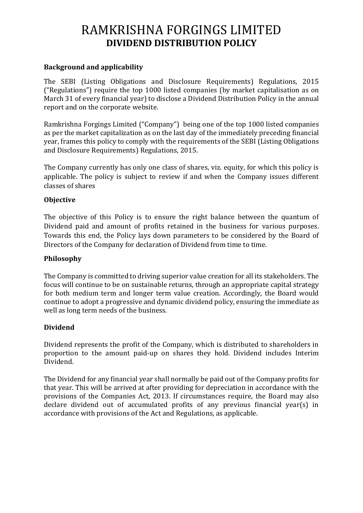# RAMKRISHNA FORGINGS LIMITED **DIVIDEND DISTRIBUTION POLICY**

## **Background and applicability**

The SEBI (Listing Obligations and Disclosure Requirements) Regulations, 2015 ("Regulations") require the top 1000 listed companies (by market capitalisation as on March 31 of every financial year) to disclose a Dividend Distribution Policy in the annual report and on the corporate website.

Ramkrishna Forgings Limited ("Company") being one of the top 1000 listed companies as per the market capitalization as on the last day of the immediately preceding financial year, frames this policy to comply with the requirements of the SEBI (Listing Obligations and Disclosure Requirements) Regulations, 2015.

The Company currently has only one class of shares, viz. equity, for which this policy is applicable. The policy is subject to review if and when the Company issues different classes of shares

## **Objective**

The objective of this Policy is to ensure the right balance between the quantum of Dividend paid and amount of profits retained in the business for various purposes. Towards this end, the Policy lays down parameters to be considered by the Board of Directors of the Company for declaration of Dividend from time to time.

#### **Philosophy**

The Company is committed to driving superior value creation for all its stakeholders. The focus will continue to be on sustainable returns, through an appropriate capital strategy for both medium term and longer term value creation. Accordingly, the Board would continue to adopt a progressive and dynamic dividend policy, ensuring the immediate as well as long term needs of the business.

## **Dividend**

Dividend represents the profit of the Company, which is distributed to shareholders in proportion to the amount paid-up on shares they hold. Dividend includes Interim Dividend.

The Dividend for any financial year shall normally be paid out of the Company profits for that year. This will be arrived at after providing for depreciation in accordance with the provisions of the Companies Act, 2013. If circumstances require, the Board may also declare dividend out of accumulated profits of any previous financial year(s) in accordance with provisions of the Act and Regulations, as applicable.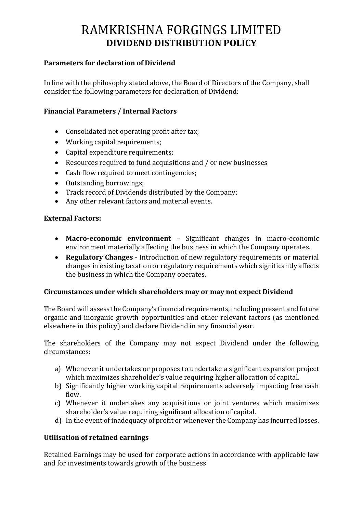# RAMKRISHNA FORGINGS LIMITED **DIVIDEND DISTRIBUTION POLICY**

#### **Parameters for declaration of Dividend**

In line with the philosophy stated above, the Board of Directors of the Company, shall consider the following parameters for declaration of Dividend:

## **Financial Parameters / Internal Factors**

- Consolidated net operating profit after tax;
- Working capital requirements;
- Capital expenditure requirements;
- Resources required to fund acquisitions and / or new businesses
- Cash flow required to meet contingencies;
- Outstanding borrowings;
- Track record of Dividends distributed by the Company;
- Any other relevant factors and material events.

## **External Factors:**

- **Macro-economic environment** Significant changes in macro-economic environment materially affecting the business in which the Company operates.
- **Regulatory Changes** Introduction of new regulatory requirements or material changes in existing taxation or regulatory requirements which significantly affects the business in which the Company operates.

#### **Circumstances under which shareholders may or may not expect Dividend**

The Board will assess the Company's financial requirements, including present and future organic and inorganic growth opportunities and other relevant factors (as mentioned elsewhere in this policy) and declare Dividend in any financial year.

The shareholders of the Company may not expect Dividend under the following circumstances:

- a) Whenever it undertakes or proposes to undertake a significant expansion project which maximizes shareholder's value requiring higher allocation of capital.
- b) Significantly higher working capital requirements adversely impacting free cash flow.
- c) Whenever it undertakes any acquisitions or joint ventures which maximizes shareholder's value requiring significant allocation of capital.
- d) In the event of inadequacy of profit or whenever the Company has incurred losses.

## **Utilisation of retained earnings**

Retained Earnings may be used for corporate actions in accordance with applicable law and for investments towards growth of the business